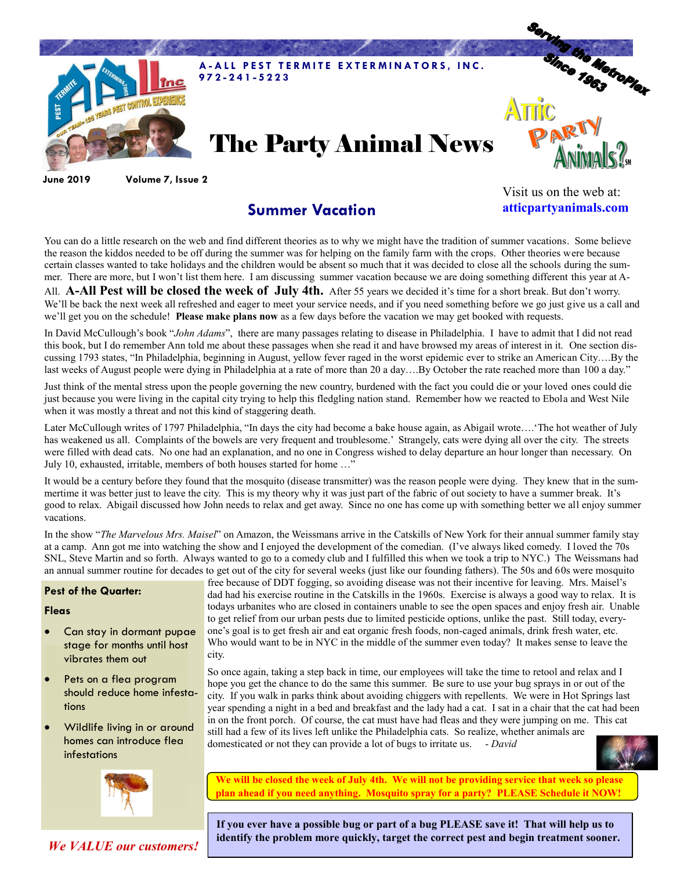

**June 2019 Volume 7, Issue 2**

## **Summer Vacation**

Visit us on the web at: **atticpartyanimals.com**

You can do a little research on the web and find different theories as to why we might have the tradition of summer vacations. Some believe the reason the kiddos needed to be off during the summer was for helping on the family farm with the crops. Other theories were because certain classes wanted to take holidays and the children would be absent so much that it was decided to close all the schools during the summer. There are more, but I won't list them here. I am discussing summer vacation because we are doing something different this year at A-

All. **A-All Pest will be closed the week of July 4th.** After 55 years we decided it's time for a short break. But don't worry. We'll be back the next week all refreshed and eager to meet your service needs, and if you need something before we go just give us a call and we'll get you on the schedule! **Please make plans now** as a few days before the vacation we may get booked with requests.

In David McCullough's book "*John Adams*", there are many passages relating to disease in Philadelphia. I have to admit that I did not read this book, but I do remember Ann told me about these passages when she read it and have browsed my areas of interest in it. One section discussing 1793 states, "In Philadelphia, beginning in August, yellow fever raged in the worst epidemic ever to strike an American City….By the last weeks of August people were dying in Philadelphia at a rate of more than 20 a day...By October the rate reached more than 100 a day."

Just think of the mental stress upon the people governing the new country, burdened with the fact you could die or your loved ones could die just because you were living in the capital city trying to help this fledgling nation stand. Remember how we reacted to Ebola and West Nile when it was mostly a threat and not this kind of staggering death.

Later McCullough writes of 1797 Philadelphia, "In days the city had become a bake house again, as Abigail wrote….'The hot weather of July has weakened us all. Complaints of the bowels are very frequent and troublesome.' Strangely, cats were dying all over the city. The streets were filled with dead cats. No one had an explanation, and no one in Congress wished to delay departure an hour longer than necessary. On July 10, exhausted, irritable, members of both houses started for home ...

It would be a century before they found that the mosquito (disease transmitter) was the reason people were dying. They knew that in the summertime it was better just to leave the city. This is my theory why it was just part of the fabric of out society to have a summer break. It's good to relax. Abigail discussed how John needs to relax and get away. Since no one has come up with something better we all enjoy summer vacations.

In the show "*The Marvelous Mrs. Maisel*" on Amazon, the Weissmans arrive in the Catskills of New York for their annual summer family stay at a camp. Ann got me into watching the show and I enjoyed the development of the comedian. (I've always liked comedy. I loved the 70s SNL, Steve Martin and so forth. Always wanted to go to a comedy club and I fulfilled this when we took a trip to NYC.) The Weissmans had an annual summer routine for decades to get out of the city for several weeks (just like our founding fathers). The 50s and 60s were mosquito

## **Pest of the Quarter:**

## **Fleas**

- Can stay in dormant pupae stage for months until host vibrates them out
- Pets on a flea program should reduce home infestations
- Wildlife living in or around homes can introduce flea infestations



*We VALUE our customers!*

free because of DDT fogging, so avoiding disease was not their incentive for leaving. Mrs. Maisel's dad had his exercise routine in the Catskills in the 1960s. Exercise is always a good way to relax. It is todays urbanites who are closed in containers unable to see the open spaces and enjoy fresh air. Unable to get relief from our urban pests due to limited pesticide options, unlike the past. Still today, everyone's goal is to get fresh air and eat organic fresh foods, non-caged animals, drink fresh water, etc. Who would want to be in NYC in the middle of the summer even today? It makes sense to leave the city.

So once again, taking a step back in time, our employees will take the time to retool and relax and I hope you get the chance to do the same this summer. Be sure to use your bug sprays in or out of the city. If you walk in parks think about avoiding chiggers with repellents. We were in Hot Springs last year spending a night in a bed and breakfast and the lady had a cat. I sat in a chair that the cat had been in on the front porch. Of course, the cat must have had fleas and they were jumping on me. This cat still had a few of its lives left unlike the Philadelphia cats. So realize, whether animals are domesticated or not they can provide a lot of bugs to irritate us. - *David*



**We will be closed the week of July 4th. We will not be providing service that week so please plan ahead if you need anything. Mosquito spray for a party? PLEASE Schedule it NOW!** 

**If you ever have a possible bug or part of a bug PLEASE save it! That will help us to identify the problem more quickly, target the correct pest and begin treatment sooner.**